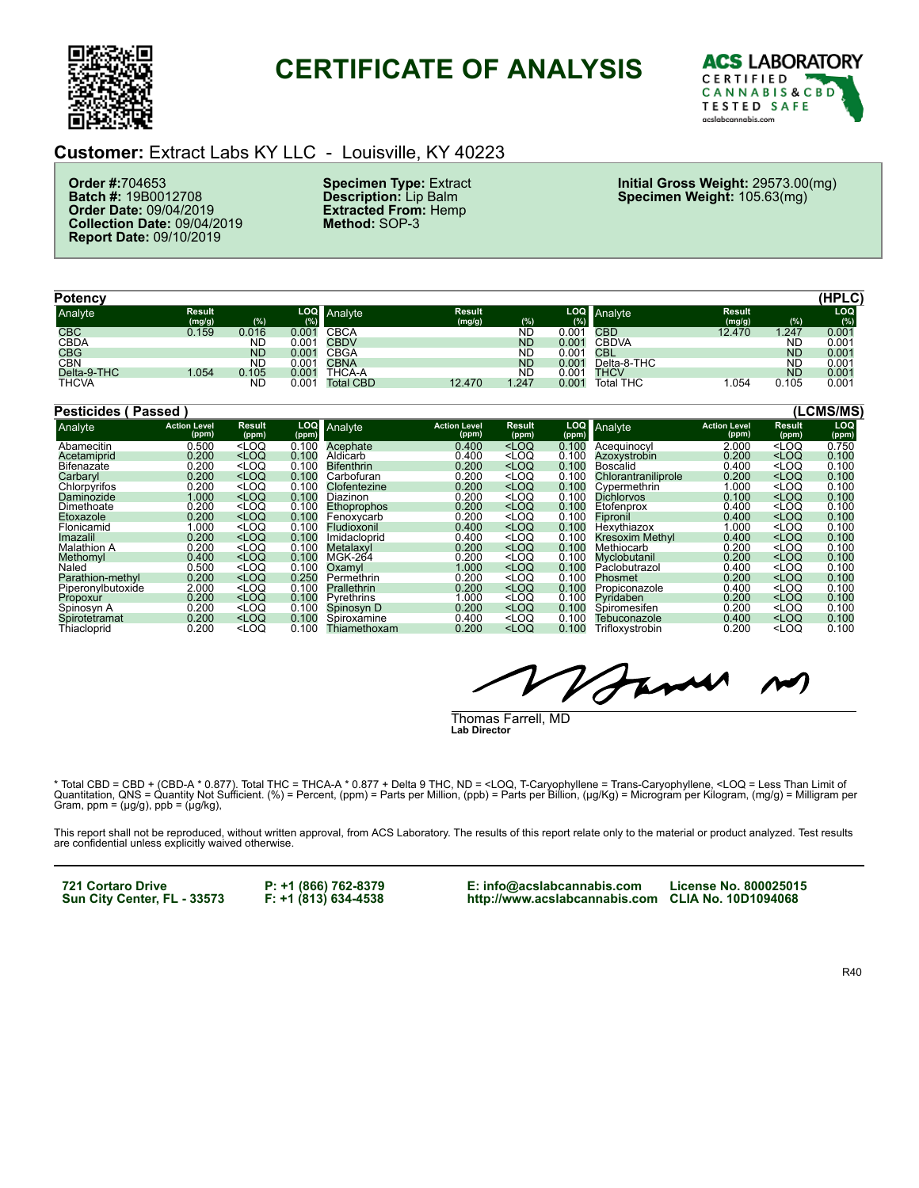

# **CERTIFICATE OF ANALYSIS**



#### **Customer:** Extract Labs KY LLC - Louisville, KY 40223

**Order #:**704653 **Batch #:** 19B0012708 **Order Date:** 09/04/2019 **Collection Date:** 09/04/2019 **Report Date:** 09/10/2019

**Specimen Type:** Extract **Description:** Lip Balm **Extracted From:** Hemp **Method:** SOP-3

**Initial Gross Weight:** 29573.00(mg) **Specimen Weight:** 105.63(mg)

| Potency      |                         |           |       |                  |                         |           |            |                  |                         |           | (HPLC)           |
|--------------|-------------------------|-----------|-------|------------------|-------------------------|-----------|------------|------------------|-------------------------|-----------|------------------|
| Analyte      | <b>Result</b><br>(mg/g) | (%)       | (%)   | LOQ Analyte      | <b>Result</b><br>(mg/g) | (%)       | LOQ<br>(%) | Analyte          | <b>Result</b><br>(mg/g) | (%)       | LOQ              |
| <b>CBC</b>   | 0.159                   | 0.016     | 0.001 | CBCA             |                         | ND        | 0.001      | CBD              | 12.470                  | .247      | $0.00\mathrm{'}$ |
| <b>CBDA</b>  |                         | <b>ND</b> | 0.001 | <b>CBDV</b>      |                         | <b>ND</b> | 0.001      | <b>CBDVA</b>     |                         | ND        | $0.00^{\circ}$   |
| <b>CBG</b>   |                         | <b>ND</b> | 0.001 | <b>CBGA</b>      |                         | ND        | 0.001      | CBL.             |                         | <b>ND</b> | 0.001            |
| <b>CBN</b>   |                         | <b>ND</b> | 0.001 | <b>CBNA</b>      |                         | <b>ND</b> | 0.001      | Delta-8-THC      |                         | ND        | $0.00^{\circ}$   |
| Delta-9-THC  | 1.054                   | 0.105     | 0.001 | THCA-A           |                         | ND        | 0.001      | THCV             |                         | <b>ND</b> | 0.001            |
| <b>THCVA</b> |                         | <b>ND</b> | 0.001 | <b>Total CBD</b> | 12.470                  | 1.247     | 0.001      | <b>Total THC</b> | .054                    | 0.105     | $0.00^{\circ}$   |

| Pesticides (       | (Passed) |                              |                                                                                                                                                                                                  |                     |                    |                              |                                                                                                                        |       |                     |                              |                                   | (LCMS/MS)    |
|--------------------|----------|------------------------------|--------------------------------------------------------------------------------------------------------------------------------------------------------------------------------------------------|---------------------|--------------------|------------------------------|------------------------------------------------------------------------------------------------------------------------|-------|---------------------|------------------------------|-----------------------------------|--------------|
| Analyte            |          | <b>Action Level</b><br>(ppm) | <b>Result</b><br>(ppm)                                                                                                                                                                           | <b>LOQ</b><br>(ppm) | Analyte            | <b>Action Level</b><br>(ppm) | Result<br>(ppm)                                                                                                        | (ppm) | LOQ Analyte         | <b>Action Level</b><br>(ppm) | <b>Result</b><br>(ppm)            | LOQ<br>(ppm) |
| Abamecitin         |          | 0.500                        | <loq< td=""><td>0.100</td><td>Acephate</td><td>0.400</td><td><math>&lt;</math>LOQ</td><td>0.100</td><td>Aceauinocyl</td><td>2.000</td><td><math>&lt;</math>LOQ</td><td>0.750</td></loq<>         | 0.100               | Acephate           | 0.400                        | $<$ LOQ                                                                                                                | 0.100 | Aceauinocyl         | 2.000                        | $<$ LOQ                           | 0.750        |
| Acetamiprid        |          | 0.200                        | $<$ LOQ                                                                                                                                                                                          | 0.100               | Aldicarb           | 0.400                        | <loq< td=""><td>0.100</td><td>Azoxystrobin</td><td>0.200</td><td><math>&lt;</math>LOQ</td><td>0.100</td></loq<>        | 0.100 | Azoxystrobin        | 0.200                        | $<$ LOQ                           | 0.100        |
| Bifenazate         |          | 0.200                        | $<$ LOQ                                                                                                                                                                                          | 0.100               | <b>Bifenthrin</b>  | 0.200                        | $<$ LOQ                                                                                                                | 0.100 | Boscalid            | 0.400                        | $<$ LOQ                           | 0.100        |
| Carbaryl           |          | 0.200                        | $<$ LOQ                                                                                                                                                                                          | 0.100               | Carbofuran         | 0.200                        | <loq< td=""><td>0.100</td><td>Chlorantraniliprole</td><td>0.200</td><td><math>&lt;</math>LOQ</td><td>0.100</td></loq<> | 0.100 | Chlorantraniliprole | 0.200                        | $<$ LOQ                           | 0.100        |
| Chlorpyrifos       |          | 0.200                        | $<$ LOQ                                                                                                                                                                                          | 0.100               | Clofentezine       | 0.200                        | <loq< td=""><td>0.100</td><td>Cvpermethrin</td><td>1.000</td><td><loq< td=""><td>0.100</td></loq<></td></loq<>         | 0.100 | Cvpermethrin        | 1.000                        | <loq< td=""><td>0.100</td></loq<> | 0.100        |
| Daminozide         |          | 1.000                        | $<$ LOQ                                                                                                                                                                                          | 0.100               | Diazinon           | 0.200                        | <loq< td=""><td>0.100</td><td><b>Dichlorvos</b></td><td>0.100</td><td><math>&lt;</math>LOQ</td><td>0.100</td></loq<>   | 0.100 | <b>Dichlorvos</b>   | 0.100                        | $<$ LOQ                           | 0.100        |
| Dimethoate         |          | 0.200                        | <loq< td=""><td>0.100</td><td><b>Ethoprophos</b></td><td>0.200</td><td><loq< td=""><td>0.100</td><td>Etofenprox</td><td>0.400</td><td><math>&lt;</math>LOQ</td><td>0.100</td></loq<></td></loq<> | 0.100               | <b>Ethoprophos</b> | 0.200                        | <loq< td=""><td>0.100</td><td>Etofenprox</td><td>0.400</td><td><math>&lt;</math>LOQ</td><td>0.100</td></loq<>          | 0.100 | Etofenprox          | 0.400                        | $<$ LOQ                           | 0.100        |
| Etoxazole          |          | 0.200                        | $<$ LOQ                                                                                                                                                                                          | 0.100               | Fenoxycarb         | 0.200                        | <loq< td=""><td>0.100</td><td>Fipronil</td><td>0.400</td><td><math>&lt;</math>LOQ</td><td>0.100</td></loq<>            | 0.100 | Fipronil            | 0.400                        | $<$ LOQ                           | 0.100        |
| Flonicamid         |          | 000.1                        | $<$ LOQ                                                                                                                                                                                          | 0.100               | Fludioxonil        | 0.400                        | <loq< td=""><td>0.100</td><td>Hexythiazox</td><td>1.000</td><td><math>&lt;</math>LOQ</td><td>0.100</td></loq<>         | 0.100 | Hexythiazox         | 1.000                        | $<$ LOQ                           | 0.100        |
| Imazalil           |          | 0.200                        | $<$ LOQ                                                                                                                                                                                          | 0.100               | Imidacloprid       | 0.400                        | <loq< td=""><td>0.100</td><td>Kresoxim Methyl</td><td>0.400</td><td><math>&lt;</math>LOQ</td><td>0.100</td></loq<>     | 0.100 | Kresoxim Methyl     | 0.400                        | $<$ LOQ                           | 0.100        |
| <b>Malathion A</b> |          | 0.200                        | $<$ LOQ                                                                                                                                                                                          | 0.100               | Metalaxvl          | 0.200                        | <loq< td=""><td>0.100</td><td>Methiocarb</td><td>0.200</td><td><math>&lt;</math>LOQ</td><td>0.100</td></loq<>          | 0.100 | Methiocarb          | 0.200                        | $<$ LOQ                           | 0.100        |
| Methomyl           |          | 0.400                        | $<$ LOQ                                                                                                                                                                                          | 0.100               | MGK-264            | 0.200                        | <loq< td=""><td>0.100</td><td>Myclobutanil</td><td>0.200</td><td><math>&lt;</math>LOQ</td><td>0.100</td></loq<>        | 0.100 | Myclobutanil        | 0.200                        | $<$ LOQ                           | 0.100        |
| Naled              |          | 0.500                        | <loq< td=""><td>0.100</td><td>Oxamyl</td><td>1.000</td><td><math>&lt;</math>LOQ</td><td>0.100</td><td>Paclobutrazol</td><td>0.400</td><td><math>&lt;</math>LOQ</td><td>0.100</td></loq<>         | 0.100               | Oxamyl             | 1.000                        | $<$ LOQ                                                                                                                | 0.100 | Paclobutrazol       | 0.400                        | $<$ LOQ                           | 0.100        |
| Parathion-methyl   |          | 0.200                        | $<$ LOQ                                                                                                                                                                                          | 0.250               | Permethrin         | 0.200                        | $<$ LOQ                                                                                                                | 0.100 | Phosmet             | 0.200                        | $<$ LOQ                           | 0.100        |
| Piperonylbutoxide  |          | 2.000                        | $<$ LOQ                                                                                                                                                                                          | 0.100               | <b>Prallethrin</b> | 0.200                        | $<$ LOQ                                                                                                                | 0.100 | Propiconazole       | 0.400                        | $<$ LOQ                           | 0.100        |
| Propoxur           |          | 0.200                        | $<$ LOQ                                                                                                                                                                                          | 0.100               | Pyrethrins         | 1.000                        | $<$ LOQ                                                                                                                | 0.100 | Pvridaben           | 0.200                        | $<$ LOQ                           | 0.100        |
| Spinosyn A         |          | 0.200                        | $<$ LOQ                                                                                                                                                                                          | 0.100               | Spinosyn D         | 0.200                        | <loq< td=""><td>0.100</td><td>Spiromesifen</td><td>0.200</td><td><math>&lt;</math>LOQ</td><td>0.100</td></loq<>        | 0.100 | Spiromesifen        | 0.200                        | $<$ LOQ                           | 0.100        |
| Spirotetramat      |          | 0.200                        | $<$ LOQ                                                                                                                                                                                          | 0.100               | Spiroxamine        | 0.400                        | <loq< td=""><td>0.100</td><td>Tebuconazole</td><td>0.400</td><td><math>&lt;</math>LOQ</td><td>0.100</td></loq<>        | 0.100 | Tebuconazole        | 0.400                        | $<$ LOQ                           | 0.100        |
| Thiacloprid        |          | 0.200                        | $<$ LOQ                                                                                                                                                                                          | 0.100               | Thiamethoxam       | 0.200                        | $<$ LOQ                                                                                                                | 0.100 | Trifloxystrobin     | 0.200                        | $<$ LOQ                           | 0.100        |

Fame

Thomas Farrell, MD **Lab Director**

\* Total CBD = CBD + (CBD-A \* 0.877). Total THC = THCA-A \* 0.877 + Delta 9 THC, ND = <LOQ, T-Caryophyllene = Trans-Caryophyllene, <LOQ = Less Than Limit of<br>Quantitation, QNS = Quantity Not Sufficient. (%) = Percent, (ppm) =

This report shall not be reproduced, without written approval, from ACS Laboratory. The results of this report relate only to the material or product analyzed. Test results<br>are confidential unless explicitly waived otherwi

**721 Cortaro Drive Sun City Center, FL - 33573** **P: +1 (866) 762-8379 F: +1 (813) 634-4538** **E: info@acslabcannabis.com http://www.acslabcannabis.com CLIA No. 10D1094068**

**License No. 800025015**